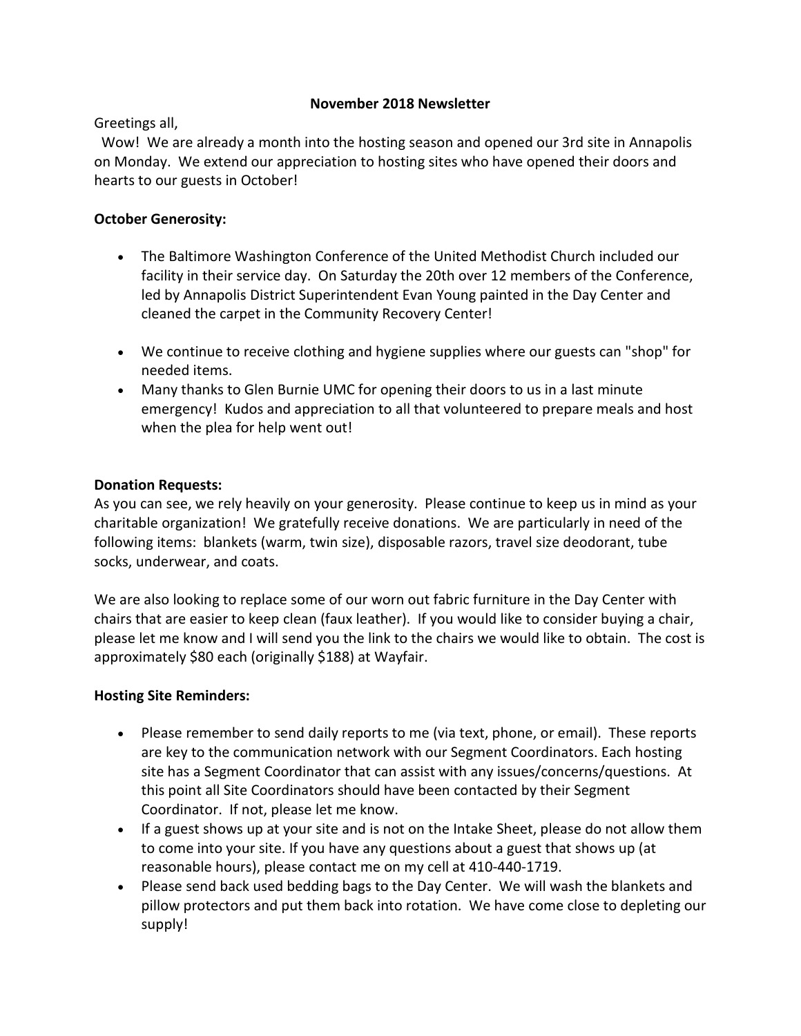## **November 2018 Newsletter**

Greetings all,

Wow! We are already a month into the hosting season and opened our 3rd site in Annapolis on Monday. We extend our appreciation to hosting sites who have opened their doors and hearts to our guests in October!

# **October Generosity:**

- The Baltimore Washington Conference of the United Methodist Church included our facility in their service day. On Saturday the 20th over 12 members of the Conference, led by Annapolis District Superintendent Evan Young painted in the Day Center and cleaned the carpet in the Community Recovery Center!
- We continue to receive clothing and hygiene supplies where our guests can "shop" for needed items.
- Many thanks to Glen Burnie UMC for opening their doors to us in a last minute emergency! Kudos and appreciation to all that volunteered to prepare meals and host when the plea for help went out!

## **Donation Requests:**

As you can see, we rely heavily on your generosity. Please continue to keep us in mind as your charitable organization! We gratefully receive donations. We are particularly in need of the following items: blankets (warm, twin size), disposable razors, travel size deodorant, tube socks, underwear, and coats.

We are also looking to replace some of our worn out fabric furniture in the Day Center with chairs that are easier to keep clean (faux leather). If you would like to consider buying a chair, please let me know and I will send you the link to the chairs we would like to obtain. The cost is approximately \$80 each (originally \$188) at Wayfair.

### **Hosting Site Reminders:**

- Please remember to send daily reports to me (via text, phone, or email). These reports are key to the communication network with our Segment Coordinators. Each hosting site has a Segment Coordinator that can assist with any issues/concerns/questions. At this point all Site Coordinators should have been contacted by their Segment Coordinator. If not, please let me know.
- If a guest shows up at your site and is not on the Intake Sheet, please do not allow them to come into your site. If you have any questions about a guest that shows up (at reasonable hours), please contact me on my cell at 410-440-1719.
- Please send back used bedding bags to the Day Center. We will wash the blankets and pillow protectors and put them back into rotation. We have come close to depleting our supply!